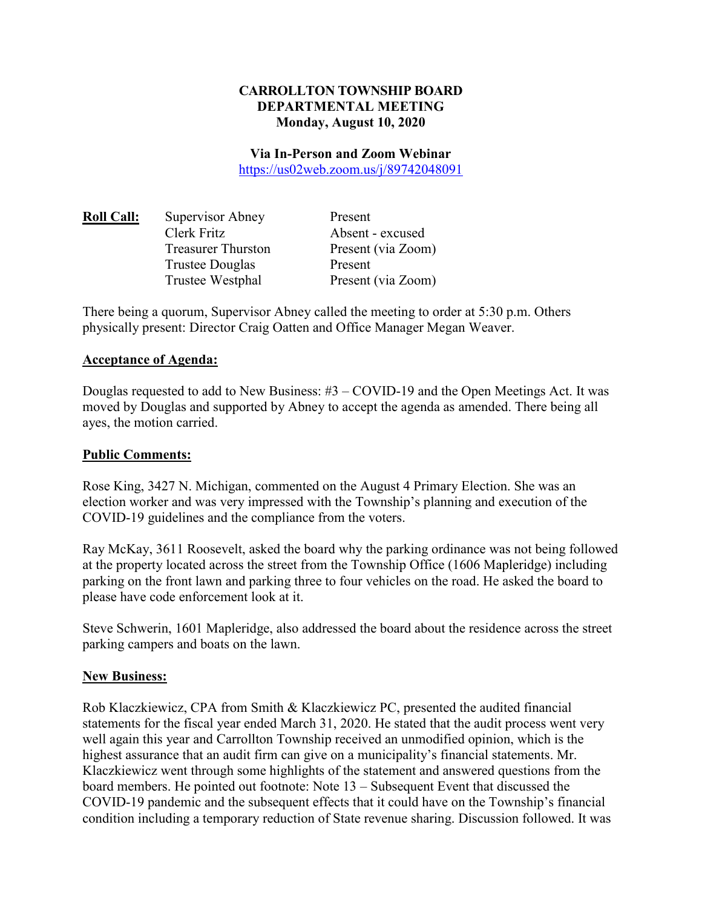### **CARROLLTON TOWNSHIP BOARD DEPARTMENTAL MEETING Monday, August 10, 2020**

**Via In-Person and Zoom Webinar**  https://us02web.zoom.us/j/89742048091

| Supervisor Abney          | Present            |
|---------------------------|--------------------|
| Clerk Fritz               | Absent - excused   |
| <b>Treasurer Thurston</b> | Present (via Zoom) |
| <b>Trustee Douglas</b>    | Present            |
| Trustee Westphal          | Present (via Zoom) |
|                           |                    |

There being a quorum, Supervisor Abney called the meeting to order at 5:30 p.m. Others physically present: Director Craig Oatten and Office Manager Megan Weaver.

#### **Acceptance of Agenda:**

Douglas requested to add to New Business: #3 – COVID-19 and the Open Meetings Act. It was moved by Douglas and supported by Abney to accept the agenda as amended. There being all ayes, the motion carried.

#### **Public Comments:**

Rose King, 3427 N. Michigan, commented on the August 4 Primary Election. She was an election worker and was very impressed with the Township's planning and execution of the COVID-19 guidelines and the compliance from the voters.

Ray McKay, 3611 Roosevelt, asked the board why the parking ordinance was not being followed at the property located across the street from the Township Office (1606 Mapleridge) including parking on the front lawn and parking three to four vehicles on the road. He asked the board to please have code enforcement look at it.

Steve Schwerin, 1601 Mapleridge, also addressed the board about the residence across the street parking campers and boats on the lawn.

### **New Business:**

Rob Klaczkiewicz, CPA from Smith & Klaczkiewicz PC, presented the audited financial statements for the fiscal year ended March 31, 2020. He stated that the audit process went very well again this year and Carrollton Township received an unmodified opinion, which is the highest assurance that an audit firm can give on a municipality's financial statements. Mr. Klaczkiewicz went through some highlights of the statement and answered questions from the board members. He pointed out footnote: Note 13 – Subsequent Event that discussed the COVID-19 pandemic and the subsequent effects that it could have on the Township's financial condition including a temporary reduction of State revenue sharing. Discussion followed. It was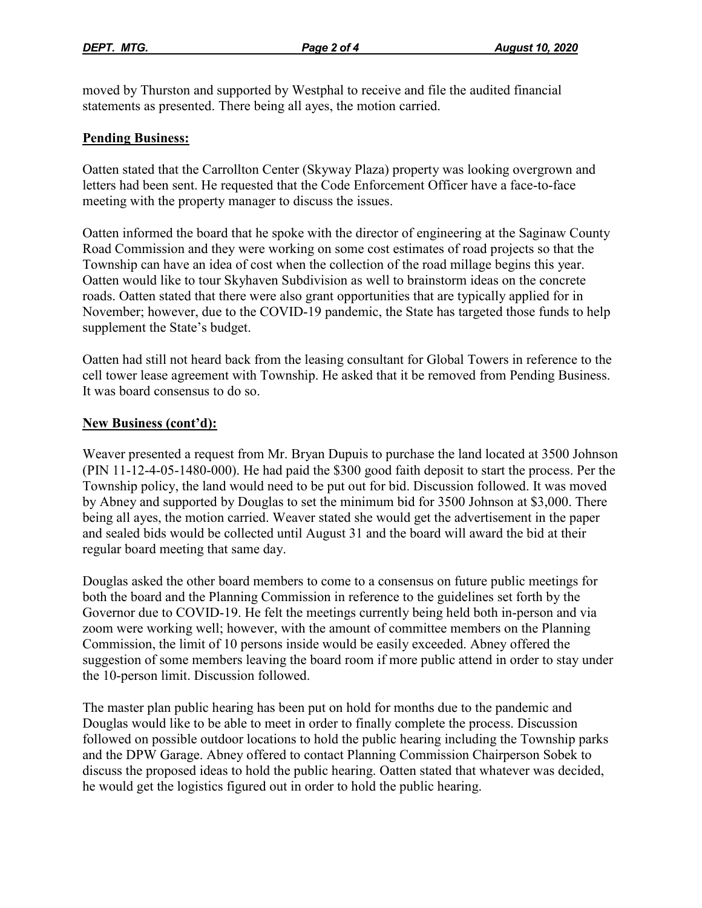moved by Thurston and supported by Westphal to receive and file the audited financial statements as presented. There being all ayes, the motion carried.

### **Pending Business:**

Oatten stated that the Carrollton Center (Skyway Plaza) property was looking overgrown and letters had been sent. He requested that the Code Enforcement Officer have a face-to-face meeting with the property manager to discuss the issues.

Oatten informed the board that he spoke with the director of engineering at the Saginaw County Road Commission and they were working on some cost estimates of road projects so that the Township can have an idea of cost when the collection of the road millage begins this year. Oatten would like to tour Skyhaven Subdivision as well to brainstorm ideas on the concrete roads. Oatten stated that there were also grant opportunities that are typically applied for in November; however, due to the COVID-19 pandemic, the State has targeted those funds to help supplement the State's budget.

Oatten had still not heard back from the leasing consultant for Global Towers in reference to the cell tower lease agreement with Township. He asked that it be removed from Pending Business. It was board consensus to do so.

### **New Business (cont'd):**

Weaver presented a request from Mr. Bryan Dupuis to purchase the land located at 3500 Johnson (PIN 11-12-4-05-1480-000). He had paid the \$300 good faith deposit to start the process. Per the Township policy, the land would need to be put out for bid. Discussion followed. It was moved by Abney and supported by Douglas to set the minimum bid for 3500 Johnson at \$3,000. There being all ayes, the motion carried. Weaver stated she would get the advertisement in the paper and sealed bids would be collected until August 31 and the board will award the bid at their regular board meeting that same day.

Douglas asked the other board members to come to a consensus on future public meetings for both the board and the Planning Commission in reference to the guidelines set forth by the Governor due to COVID-19. He felt the meetings currently being held both in-person and via zoom were working well; however, with the amount of committee members on the Planning Commission, the limit of 10 persons inside would be easily exceeded. Abney offered the suggestion of some members leaving the board room if more public attend in order to stay under the 10-person limit. Discussion followed.

The master plan public hearing has been put on hold for months due to the pandemic and Douglas would like to be able to meet in order to finally complete the process. Discussion followed on possible outdoor locations to hold the public hearing including the Township parks and the DPW Garage. Abney offered to contact Planning Commission Chairperson Sobek to discuss the proposed ideas to hold the public hearing. Oatten stated that whatever was decided, he would get the logistics figured out in order to hold the public hearing.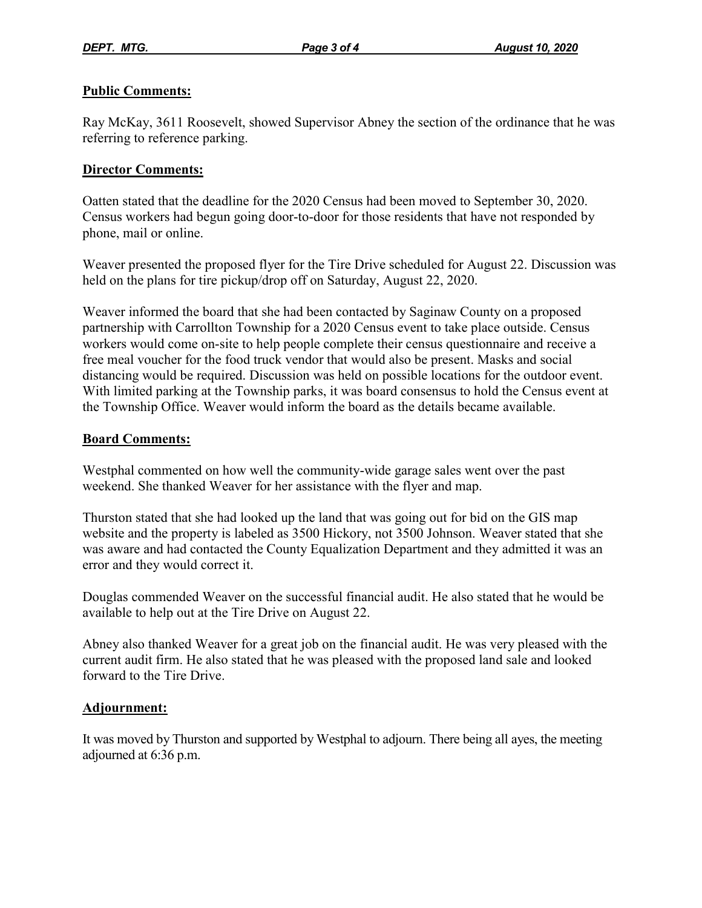### **Public Comments:**

Ray McKay, 3611 Roosevelt, showed Supervisor Abney the section of the ordinance that he was referring to reference parking.

## **Director Comments:**

Oatten stated that the deadline for the 2020 Census had been moved to September 30, 2020. Census workers had begun going door-to-door for those residents that have not responded by phone, mail or online.

Weaver presented the proposed flyer for the Tire Drive scheduled for August 22. Discussion was held on the plans for tire pickup/drop off on Saturday, August 22, 2020.

Weaver informed the board that she had been contacted by Saginaw County on a proposed partnership with Carrollton Township for a 2020 Census event to take place outside. Census workers would come on-site to help people complete their census questionnaire and receive a free meal voucher for the food truck vendor that would also be present. Masks and social distancing would be required. Discussion was held on possible locations for the outdoor event. With limited parking at the Township parks, it was board consensus to hold the Census event at the Township Office. Weaver would inform the board as the details became available.

### **Board Comments:**

Westphal commented on how well the community-wide garage sales went over the past weekend. She thanked Weaver for her assistance with the flyer and map.

Thurston stated that she had looked up the land that was going out for bid on the GIS map website and the property is labeled as 3500 Hickory, not 3500 Johnson. Weaver stated that she was aware and had contacted the County Equalization Department and they admitted it was an error and they would correct it.

Douglas commended Weaver on the successful financial audit. He also stated that he would be available to help out at the Tire Drive on August 22.

Abney also thanked Weaver for a great job on the financial audit. He was very pleased with the current audit firm. He also stated that he was pleased with the proposed land sale and looked forward to the Tire Drive.

# **Adjournment:**

It was moved by Thurston and supported by Westphal to adjourn. There being all ayes, the meeting adjourned at 6:36 p.m.